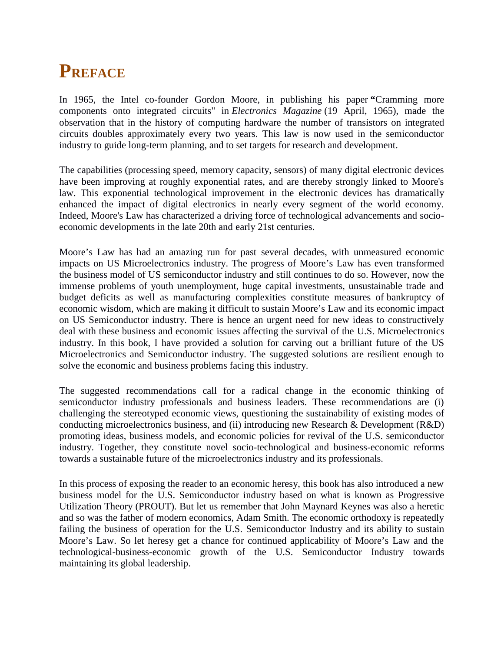## **PREFACE**

In 1965, the Intel co-founder Gordon Moore, in publishing his paper **"**Cramming more components onto integrated circuits" in *Electronics Magazine* (19 April, 1965), made the observation that in the history of computing hardware the number of transistors on integrated circuits doubles approximately every two years. This law is now used in the semiconductor industry to guide long-term planning, and to set targets for research and development.

The capabilities (processing speed, memory capacity, sensors) of many digital electronic devices have been improving at roughly exponential rates, and are thereby strongly linked to Moore's law. This exponential technological improvement in the electronic devices has dramatically enhanced the impact of digital electronics in nearly every segment of the world economy. Indeed, Moore's Law has characterized a driving force of technological advancements and socio economic developments in the late 20th and early 21st centuries.

Moore's Law has had an amazing run for past several decades, with unmeasured economic impacts on US Microelectronics industry. The progress of Moore's Law has even transformed the business model of US semiconductor industry and still continues to do so. However, now the immense problems of youth unemployment, huge capital investments, unsustainable trade and budget deficits as well as manufacturing complexities constitute measures of bankruptcy of economic wisdom, which are making it difficult to sustain Moore's Law and its economic impact on US Semiconductor industry. There is hence an urgent need for new ideas to constructively deal with these business and economic issues affecting the survival of the U.S. Microelectronics industry. In this book, I have provided a solution for carving out a brilliant future of the US Microelectronics and Semiconductor industry. The suggested solutions are resilient enough to solve the economic and business problems facing this industry.

The suggested recommendations call for a radical change in the economic thinking of semiconductor industry professionals and business leaders. These recommendations are (i) challenging the stereotyped economic views, questioning the sustainability of existing modes of conducting microelectronics business, and (ii) introducing new Research & Development (R&D) promoting ideas, business models, and economic policies for revival of the U.S. semiconductor industry. Together, they constitute novel socio-technological and business-economic reforms towards a sustainable future of the microelectronics industry and its professionals.

In this process of exposing the reader to an economic heresy, this book has also introduced a new business model for the U.S. Semiconductor industry based on what is known as Progressive Utilization Theory (PROUT). But let us remember that John Maynard Keynes was also a heretic and so was the father of modern economics, Adam Smith. The economic orthodoxy is repeatedly failing the business of operation for the U.S. Semiconductor Industry and its ability to sustain Moore's Law. So let heresy get a chance for continued applicability of Moore's Law and the technological-business-economic growth of the U.S. Semiconductor Industry towards maintaining its global leadership.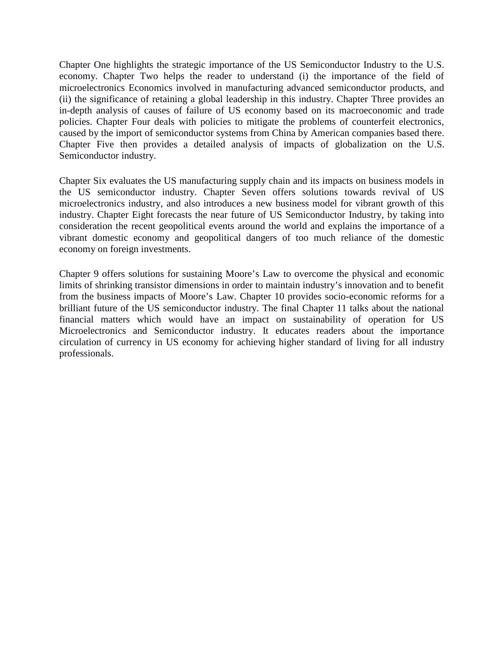Chapter One highlights the strategic importance of the US Semiconductor Industry to the U.S. economy. Chapter Two helps the reader to understand (i) the importance of the field of microelectronics Economics involved in manufacturing advanced semiconductor products, and (ii) the significance of retaining a global leadership in this industry. Chapter Three provides an in-depth analysis of causes of failure of US economy based on its macroeconomic and trade policies. Chapter Four deals with policies to mitigate the problems of counterfeit electronics, caused by the import of semiconductor systems from China by American companies based there. Chapter Five then provides a detailed analysis of impacts of globalization on the U.S. Semiconductor industry.

Chapter Six evaluates the US manufacturing supply chain and its impacts on business models in the US semiconductor industry. Chapter Seven offers solutions towards revival of US microelectronics industry, and also introduces a new business model for vibrant growth of this industry. Chapter Eight forecasts the near future of US Semiconductor Industry, by taking into consideration the recent geopolitical events around the world and explains the importance of a vibrant domestic economy and geopolitical dangers of too much reliance of the domestic economy on foreign investments.

Chapter 9 offers solutions for sustaining Moore's Law to overcome the physical and economic limits of shrinking transistor dimensions in order to maintain industry's innovation and to benefit from the business impacts of Moore's Law. Chapter 10 provides socio-economic reforms for a brilliant future of the US semiconductor industry. The final Chapter 11 talks about the national financial matters which would have an impact on sustainability of operation for US Microelectronics and Semiconductor industry. It educates readers about the importance circulation of currency in US economy for achieving higher standard of living for all industry professionals.